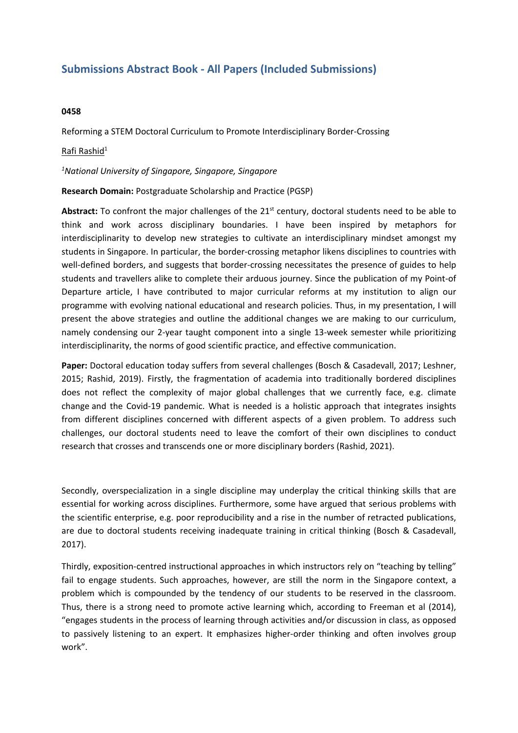## **Submissions Abstract Book - All Papers (Included Submissions)**

## **0458**

Reforming <sup>a</sup> STEM Doctoral Curriculum to Promote Interdisciplinary Border-Crossing

## Rafi Rashid $1$

## *1 National University of Singapore, Singapore, Singapore*

**Research Domain:** Postgraduate Scholarship and Practice (PGSP)

Abstract: To confront the major challenges of the 21<sup>st</sup> century, doctoral students need to be able to think and work across disciplinary boundaries. I have been inspired by metaphors for interdisciplinarity to develop new strategies to cultivate an interdisciplinary mindset amongst my students in Singapore. In particular, the border-crossing metaphor likens disciplines to countries with well-defined borders, and suggests that border-crossing necessitates the presence of guides to help students and travellers alike to complete their arduous journey. Since the publication of my Point-of Departure article, I have contributed to major curricular reforms at my institution to align our programme with evolving national educational and research policies. Thus, in my presentation, I will present the above strategies and outline the additional changes we are making to our curriculum, namely condensing our 2-year taught component into <sup>a</sup> single 13-week semester while prioritizing interdisciplinarity, the norms of good scientific practice, and effective communication.

**Paper:** Doctoral education today suffers from several challenges (Bosch & Casadevall, 2017; Leshner, 2015; Rashid, 2019). Firstly, the fragmentation of academia into traditionally bordered disciplines does not reflect the complexity of major global challenges that we currently face, e.g. climate change and the Covid-19 pandemic. What is needed is <sup>a</sup> holistic approach that integrates insights from different disciplines concerned with different aspects of <sup>a</sup> given problem. To address such challenges, our doctoral students need to leave the comfort of their own disciplines to conduct research that crosses and transcends one or more disciplinary borders (Rashid, 2021).

Secondly, overspecialization in <sup>a</sup> single discipline may underplay the critical thinking skills that are essential for working across disciplines. Furthermore, some have argued that serious problems with the scientific enterprise, e.g. poor reproducibility and <sup>a</sup> rise in the number of retracted publications, are due to doctoral students receiving inadequate training in critical thinking (Bosch & Casadevall, 2017).

Thirdly, exposition-centred instructional approaches in which instructors rely on "teaching by telling" fail to engage students. Such approaches, however, are still the norm in the Singapore context, <sup>a</sup> problem which is compounded by the tendency of our students to be reserved in the classroom. Thus, there is <sup>a</sup> strong need to promote active learning which, according to Freeman et al (2014), "engages students in the process of learning through activities and/or discussion in class, as opposed to passively listening to an expert. It emphasizes higher-order thinking and often involves group work".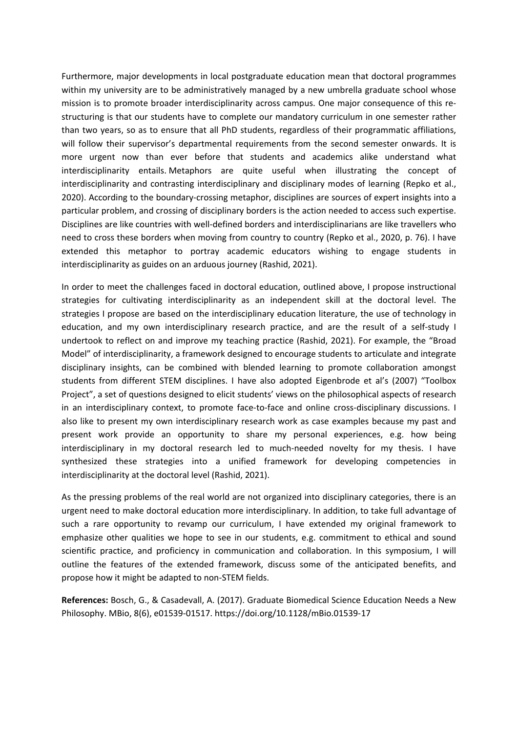Furthermore, major developments in local postgraduate education mean that doctoral programmes within my university are to be administratively managed by <sup>a</sup> new umbrella graduate school whose mission is to promote broader interdisciplinarity across campus. One major consequence of this restructuring is that our students have to complete our mandatory curriculum in one semester rather than two years, so as to ensure that all PhD students, regardless of their programmatic affiliations, will follow their supervisor's departmental requirements from the second semester onwards. It is more urgent now than ever before that students and academics alike understand what interdisciplinarity entails. Metaphors are quite useful when illustrating the concept of interdisciplinarity and contrasting interdisciplinary and disciplinary modes of learning (Repko et al., 2020). According to the boundary-crossing metaphor, disciplines are sources of expert insights into <sup>a</sup> particular problem, and crossing of disciplinary borders is the action needed to access such expertise. Disciplines are like countries with well-defined borders and interdisciplinarians are like travellers who need to cross these borders when moving from country to country (Repko et al., 2020, p. 76). I have extended this metaphor to portray academic educators wishing to engage students in interdisciplinarity as guides on an arduous journey (Rashid, 2021).

In order to meet the challenges faced in doctoral education, outlined above, I propose instructional strategies for cultivating interdisciplinarity as an independent skill at the doctoral level. The strategies I propose are based on the interdisciplinary education literature, the use of technology in education, and my own interdisciplinary research practice, and are the result of <sup>a</sup> self-study I undertook to reflect on and improve my teaching practice (Rashid, 2021). For example, the "Broad Model" of interdisciplinarity, <sup>a</sup> framework designed to encourage students to articulate and integrate disciplinary insights, can be combined with blended learning to promote collaboration amongst students from different STEM disciplines. I have also adopted Eigenbrode et al's (2007) "Toolbox Project", <sup>a</sup> set of questions designed to elicit students' views on the philosophical aspects of research in an interdisciplinary context, to promote face-to-face and online cross-disciplinary discussions. I also like to present my own interdisciplinary research work as case examples because my past and present work provide an opportunity to share my personal experiences, e.g. how being interdisciplinary in my doctoral research led to much-needed novelty for my thesis. I have synthesized these strategies into <sup>a</sup> unified framework for developing competencies in interdisciplinarity at the doctoral level (Rashid, 2021).

As the pressing problems of the real world are not organized into disciplinary categories, there is an urgent need to make doctoral education more interdisciplinary. In addition, to take full advantage of such <sup>a</sup> rare opportunity to revamp our curriculum, I have extended my original framework to emphasize other qualities we hope to see in our students, e.g. commitment to ethical and sound scientific practice, and proficiency in communication and collaboration. In this symposium, I will outline the features of the extended framework, discuss some of the anticipated benefits, and propose how it might be adapted to non-STEM fields.

**References:** Bosch, G., & Casadevall, A. (2017). Graduate Biomedical Science Education Needs <sup>a</sup> New Philosophy. MBio, 8(6), e01539-01517. https://doi.org/10.1128/mBio.01539-17